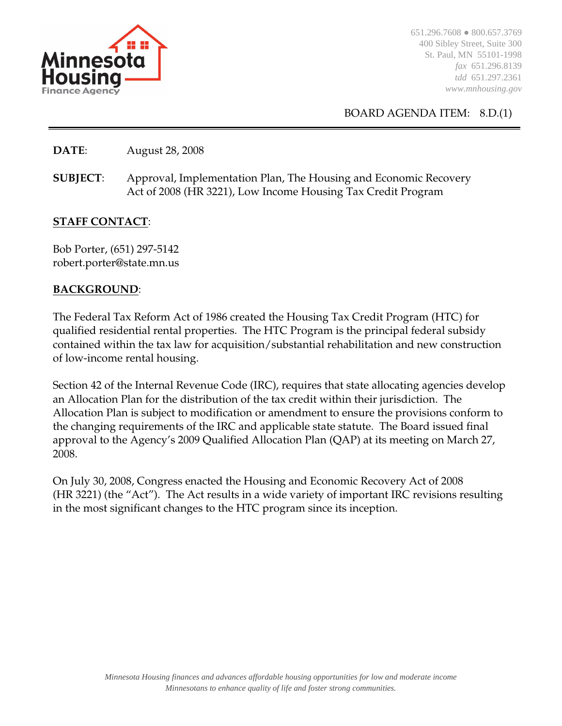

651.296.7608 ● 800.657.3769 400 Sibley Street, Suite 300 St. Paul, MN 55101-1998 *fax* 651.296.8139 *tdd* 651.297.2361 *www.mnhousing.gov* 

### BOARD AGENDA ITEM: 8.D.(1)

**DATE**: August 28, 2008

**SUBJECT:** Approval, Implementation Plan, The Housing and Economic Recovery Act of 2008 (HR 3221), Low Income Housing Tax Credit Program

#### **STAFF CONTACT**:

Bob Porter, (651) 297-5142 robert.porter@state.mn.us

#### **BACKGROUND**:

The Federal Tax Reform Act of 1986 created the Housing Tax Credit Program (HTC) for qualified residential rental properties. The HTC Program is the principal federal subsidy contained within the tax law for acquisition/substantial rehabilitation and new construction of low-income rental housing.

Section 42 of the Internal Revenue Code (IRC), requires that state allocating agencies develop an Allocation Plan for the distribution of the tax credit within their jurisdiction. The Allocation Plan is subject to modification or amendment to ensure the provisions conform to the changing requirements of the IRC and applicable state statute. The Board issued final approval to the Agency's 2009 Qualified Allocation Plan (QAP) at its meeting on March 27, 2008.

On July 30, 2008, Congress enacted the Housing and Economic Recovery Act of 2008 (HR 3221) (the "Act"). The Act results in a wide variety of important IRC revisions resulting in the most significant changes to the HTC program since its inception.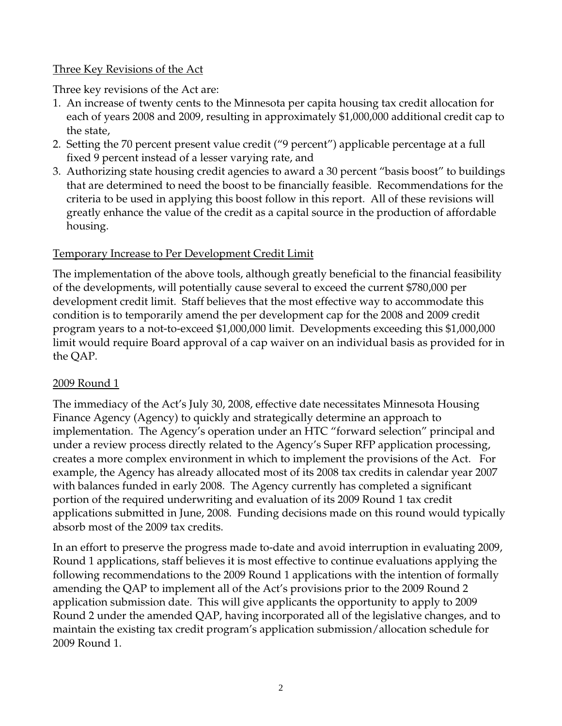#### Three Key Revisions of the Act

Three key revisions of the Act are:

- 1. An increase of twenty cents to the Minnesota per capita housing tax credit allocation for each of years 2008 and 2009, resulting in approximately \$1,000,000 additional credit cap to the state,
- 2. Setting the 70 percent present value credit ("9 percent") applicable percentage at a full fixed 9 percent instead of a lesser varying rate, and
- 3. Authorizing state housing credit agencies to award a 30 percent "basis boost" to buildings that are determined to need the boost to be financially feasible. Recommendations for the criteria to be used in applying this boost follow in this report. All of these revisions will greatly enhance the value of the credit as a capital source in the production of affordable housing.

### Temporary Increase to Per Development Credit Limit

The implementation of the above tools, although greatly beneficial to the financial feasibility of the developments, will potentially cause several to exceed the current \$780,000 per development credit limit. Staff believes that the most effective way to accommodate this condition is to temporarily amend the per development cap for the 2008 and 2009 credit program years to a not-to-exceed \$1,000,000 limit. Developments exceeding this \$1,000,000 limit would require Board approval of a cap waiver on an individual basis as provided for in the QAP.

# 2009 Round 1

The immediacy of the Act's July 30, 2008, effective date necessitates Minnesota Housing Finance Agency (Agency) to quickly and strategically determine an approach to implementation. The Agency's operation under an HTC "forward selection" principal and under a review process directly related to the Agency's Super RFP application processing, creates a more complex environment in which to implement the provisions of the Act. For example, the Agency has already allocated most of its 2008 tax credits in calendar year 2007 with balances funded in early 2008. The Agency currently has completed a significant portion of the required underwriting and evaluation of its 2009 Round 1 tax credit applications submitted in June, 2008. Funding decisions made on this round would typically absorb most of the 2009 tax credits.

In an effort to preserve the progress made to-date and avoid interruption in evaluating 2009, Round 1 applications, staff believes it is most effective to continue evaluations applying the following recommendations to the 2009 Round 1 applications with the intention of formally amending the QAP to implement all of the Act's provisions prior to the 2009 Round 2 application submission date. This will give applicants the opportunity to apply to 2009 Round 2 under the amended QAP, having incorporated all of the legislative changes, and to maintain the existing tax credit program's application submission/allocation schedule for 2009 Round 1.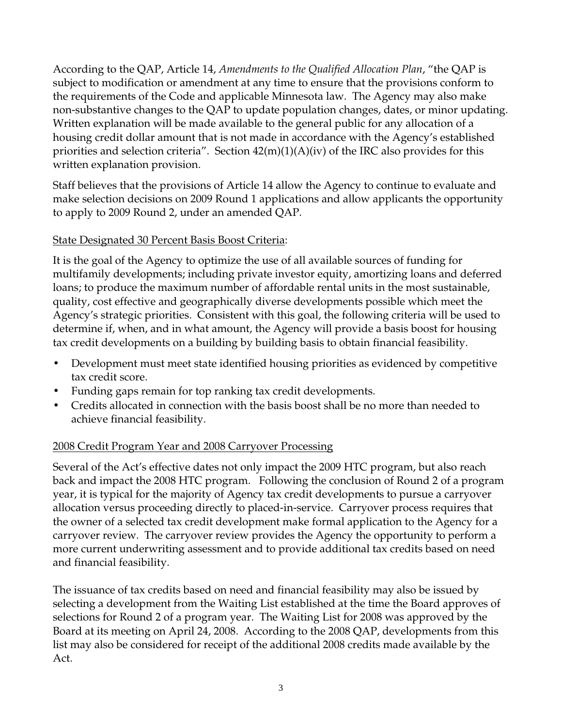According to the QAP, Article 14, *Amendments to the Qualified Allocation Plan*, "the QAP is subject to modification or amendment at any time to ensure that the provisions conform to the requirements of the Code and applicable Minnesota law. The Agency may also make non-substantive changes to the QAP to update population changes, dates, or minor updating. Written explanation will be made available to the general public for any allocation of a housing credit dollar amount that is not made in accordance with the Agency's established priorities and selection criteria". Section  $42(m)(1)(A)(iv)$  of the IRC also provides for this written explanation provision.

Staff believes that the provisions of Article 14 allow the Agency to continue to evaluate and make selection decisions on 2009 Round 1 applications and allow applicants the opportunity to apply to 2009 Round 2, under an amended QAP.

# State Designated 30 Percent Basis Boost Criteria:

It is the goal of the Agency to optimize the use of all available sources of funding for multifamily developments; including private investor equity, amortizing loans and deferred loans; to produce the maximum number of affordable rental units in the most sustainable, quality, cost effective and geographically diverse developments possible which meet the Agency's strategic priorities. Consistent with this goal, the following criteria will be used to determine if, when, and in what amount, the Agency will provide a basis boost for housing tax credit developments on a building by building basis to obtain financial feasibility.

- Development must meet state identified housing priorities as evidenced by competitive tax credit score.
- Funding gaps remain for top ranking tax credit developments.
- Credits allocated in connection with the basis boost shall be no more than needed to achieve financial feasibility.

#### 2008 Credit Program Year and 2008 Carryover Processing

Several of the Act's effective dates not only impact the 2009 HTC program, but also reach back and impact the 2008 HTC program. Following the conclusion of Round 2 of a program year, it is typical for the majority of Agency tax credit developments to pursue a carryover allocation versus proceeding directly to placed-in-service. Carryover process requires that the owner of a selected tax credit development make formal application to the Agency for a carryover review. The carryover review provides the Agency the opportunity to perform a more current underwriting assessment and to provide additional tax credits based on need and financial feasibility.

The issuance of tax credits based on need and financial feasibility may also be issued by selecting a development from the Waiting List established at the time the Board approves of selections for Round 2 of a program year. The Waiting List for 2008 was approved by the Board at its meeting on April 24, 2008. According to the 2008 QAP, developments from this list may also be considered for receipt of the additional 2008 credits made available by the Act.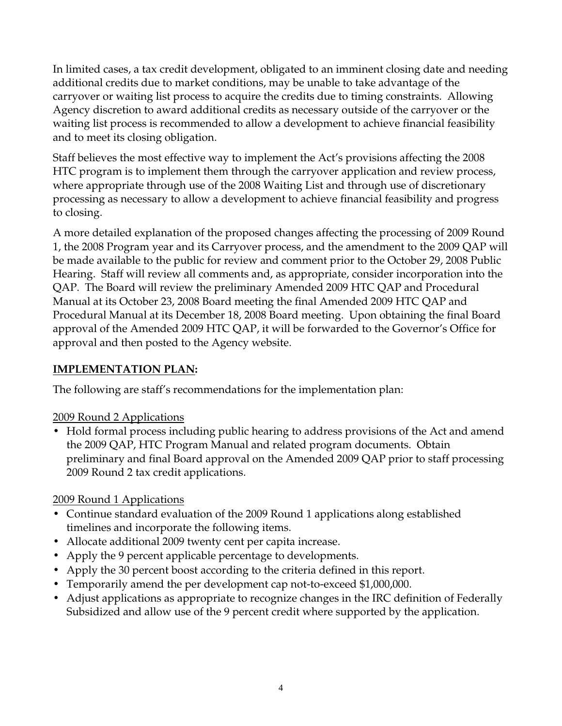In limited cases, a tax credit development, obligated to an imminent closing date and needing additional credits due to market conditions, may be unable to take advantage of the carryover or waiting list process to acquire the credits due to timing constraints. Allowing Agency discretion to award additional credits as necessary outside of the carryover or the waiting list process is recommended to allow a development to achieve financial feasibility and to meet its closing obligation.

Staff believes the most effective way to implement the Act's provisions affecting the 2008 HTC program is to implement them through the carryover application and review process, where appropriate through use of the 2008 Waiting List and through use of discretionary processing as necessary to allow a development to achieve financial feasibility and progress to closing.

A more detailed explanation of the proposed changes affecting the processing of 2009 Round 1, the 2008 Program year and its Carryover process, and the amendment to the 2009 QAP will be made available to the public for review and comment prior to the October 29, 2008 Public Hearing. Staff will review all comments and, as appropriate, consider incorporation into the QAP. The Board will review the preliminary Amended 2009 HTC QAP and Procedural Manual at its October 23, 2008 Board meeting the final Amended 2009 HTC QAP and Procedural Manual at its December 18, 2008 Board meeting. Upon obtaining the final Board approval of the Amended 2009 HTC QAP, it will be forwarded to the Governor's Office for approval and then posted to the Agency website.

### **IMPLEMENTATION PLAN:**

The following are staff's recommendations for the implementation plan:

#### 2009 Round 2 Applications

• Hold formal process including public hearing to address provisions of the Act and amend the 2009 QAP, HTC Program Manual and related program documents. Obtain preliminary and final Board approval on the Amended 2009 QAP prior to staff processing 2009 Round 2 tax credit applications.

# 2009 Round 1 Applications

- Continue standard evaluation of the 2009 Round 1 applications along established timelines and incorporate the following items.
- Allocate additional 2009 twenty cent per capita increase.
- Apply the 9 percent applicable percentage to developments.
- Apply the 30 percent boost according to the criteria defined in this report.
- Temporarily amend the per development cap not-to-exceed \$1,000,000.
- Adjust applications as appropriate to recognize changes in the IRC definition of Federally Subsidized and allow use of the 9 percent credit where supported by the application.